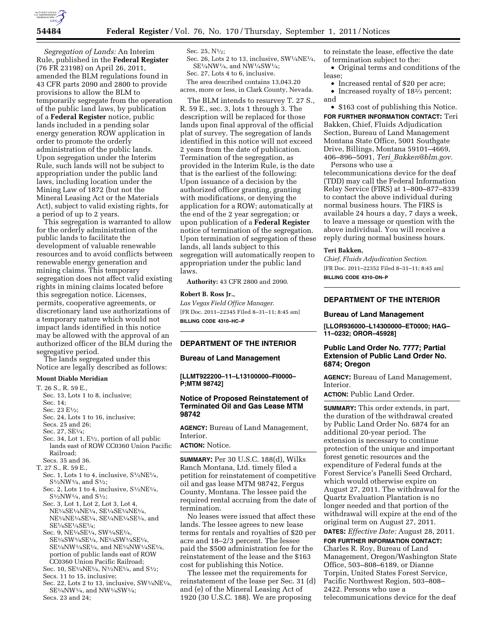

*Segregation of Lands:* An Interim Rule, published in the **Federal Register**  (76 FR 23198) on April 26, 2011, amended the BLM regulations found in 43 CFR parts 2090 and 2800 to provide provisions to allow the BLM to temporarily segregate from the operation of the public land laws, by publication of a **Federal Register** notice, public lands included in a pending solar energy generation ROW application in order to promote the orderly administration of the public lands. Upon segregation under the Interim Rule, such lands will not be subject to appropriation under the public land laws, including location under the Mining Law of 1872 (but not the Mineral Leasing Act or the Materials Act), subject to valid existing rights, for a period of up to 2 years.

This segregation is warranted to allow for the orderly administration of the public lands to facilitate the development of valuable renewable resources and to avoid conflicts between renewable energy generation and mining claims. This temporary segregation does not affect valid existing rights in mining claims located before this segregation notice. Licenses, permits, cooperative agreements, or discretionary land use authorizations of a temporary nature which would not impact lands identified in this notice may be allowed with the approval of an authorized officer of the BLM during the segregative period.

The lands segregated under this Notice are legally described as follows:

### **Mount Diablo Meridian**

- T. 26 S., R. 59 E.,
- Sec. 13, Lots 1 to 8, inclusive; Sec. 14; Sec. 23 E<sup>1</sup>/2: Sec. 24, Lots 1 to 16, inclusive; Secs. 25 and 26;
- Sec.  $27$ ,  $SE1/4$ ;
- Sec. 34, Lot 1,  $E\frac{1}{2}$ , portion of all public lands east of ROW CC0360 Union Pacific Railroad;
- Secs. 35 and 36.
- T. 27 S., R. 59 E.,
- Sec. 1, Lots 1 to 4, inclusive,  $S<sup>1</sup>/2NE<sup>1</sup>/4$ , S1⁄2NW1⁄4, and S1⁄2;
- Sec. 2, Lots 1 to 4, inclusive,  $S^{1/2}NE^{1/4}$ S1⁄2NW1⁄4, and S1⁄2;
- Sec. 3, Lot 1, Lot 2, Lot 3, Lot 4, NE1⁄4SE1⁄4NE1⁄4, SE1⁄4SE1⁄4NE1⁄4, NE1⁄4NE1⁄4SE1⁄4, SE1⁄4NE1⁄4SE1⁄4, and SE1⁄4SE1⁄4SE1⁄4;
- Sec. 9, NE1⁄4SE1⁄4, SW1⁄4SE1⁄4, SE1⁄4SW1⁄4SE1⁄4, NE1⁄4SW1⁄4SE1⁄4, SE1⁄4NW1⁄4SE1⁄4, and NE1⁄4NW1⁄4SE1⁄4, portion of public lands east of ROW CC0360 Union Pacific Railroad;
- Sec. 10, SE<sup>1</sup>/<sub>4</sub>NE<sup>1</sup>/<sub>4</sub>, N<sup>1</sup>/<sub>2</sub>NE<sup>1</sup>/<sub>4</sub>, and S<sup>1</sup>/<sub>2</sub>; Secs. 11 to 15, inclusive;
- Sec. 22, Lots 2 to 13, inclusive, SW1⁄4NE1⁄4, SE1⁄4NW1⁄4, and NW1⁄4SW1⁄4;

Secs. 23 and 24;

#### Sec. 25, N1⁄2;

Sec. 26, Lots 2 to 13, inclusive, SW1/4NE1/4, SE1⁄4NW1⁄4, and NW1⁄4SW1⁄4; Sec. 27, Lots 4 to 6, inclusive.

The area described contains 13,043.20 acres, more or less, in Clark County, Nevada.

The BLM intends to resurvey T. 27 S., R. 59 E., sec. 3, lots 1 through 3. The description will be replaced for those lands upon final approval of the official plat of survey. The segregation of lands identified in this notice will not exceed 2 years from the date of publication. Termination of the segregation, as provided in the Interim Rule, is the date that is the earliest of the following: Upon issuance of a decision by the authorized officer granting, granting with modifications, or denying the application for a ROW; automatically at the end of the 2 year segregation; or upon publication of a **Federal Register**  notice of termination of the segregation. Upon termination of segregation of these lands, all lands subject to this segregation will automatically reopen to appropriation under the public land laws.

**Authority:** 43 CFR 2800 and 2090.

# **Robert B. Ross Jr.,**

*Las Vegas Field Office Manager.*  [FR Doc. 2011–22345 Filed 8–31–11; 8:45 am] **BILLING CODE 4310–HC–P** 

# **DEPARTMENT OF THE INTERIOR**

### **Bureau of Land Management**

**[LLMT922200–11–L13100000–FI0000– P;MTM 98742]** 

# **Notice of Proposed Reinstatement of Terminated Oil and Gas Lease MTM 98742**

**AGENCY:** Bureau of Land Management, Interior.

### **ACTION:** Notice.

**SUMMARY:** Per 30 U.S.C. 188(d), Wilks Ranch Montana, Ltd. timely filed a petition for reinstatement of competitive oil and gas lease MTM 98742, Fergus County, Montana. The lessee paid the required rental accruing from the date of termination.

No leases were issued that affect these lands. The lessee agrees to new lease terms for rentals and royalties of \$20 per acre and 18–2/3 percent. The lessee paid the \$500 administration fee for the reinstatement of the lease and the \$163 cost for publishing this Notice.

The lessee met the requirements for reinstatement of the lease per Sec. 31 (d) and (e) of the Mineral Leasing Act of 1920 (30 U.S.C. 188). We are proposing

to reinstate the lease, effective the date of termination subject to the:

- Original terms and conditions of the lease;
- Increased rental of \$20 per acre;
- Increased royalty of 18<sup>2</sup>/<sub>3</sub> percent; and

• \$163 cost of publishing this Notice. **FOR FURTHER INFORMATION CONTACT:** Teri Bakken, Chief, Fluids Adjudication Section, Bureau of Land Management Montana State Office, 5001 Southgate Drive, Billings, Montana 59101–4669, 406–896–5091, *Teri*\_*[Bakken@blm.gov.](mailto:Teri_Bakken@blm.gov)* 

Persons who use a telecommunications device for the deaf (TDD) may call the Federal Information Relay Service (FIRS) at 1–800–877–8339 to contact the above individual during normal business hours. The FIRS is available 24 hours a day, 7 days a week, to leave a message or question with the above individual. You will receive a reply during normal business hours.

### **Teri Bakken,**

*Chief, Fluids Adjudication Section.*  [FR Doc. 2011–22352 Filed 8–31–11; 8:45 am] **BILLING CODE 4310–DN–P** 

# **DEPARTMENT OF THE INTERIOR**

#### **Bureau of Land Management**

**[LLOR936000–L14300000–ET0000; HAG– 11–0232; OROR–45928]** 

### **Public Land Order No. 7777; Partial Extension of Public Land Order No. 6874; Oregon**

**AGENCY:** Bureau of Land Management, Interior.

**ACTION:** Public Land Order.

**SUMMARY:** This order extends, in part, the duration of the withdrawal created by Public Land Order No. 6874 for an additional 20-year period. The extension is necessary to continue protection of the unique and important forest genetic resources and the expenditure of Federal funds at the Forest Service's Panelli Seed Orchard, which would otherwise expire on August 27, 2011. The withdrawal for the Quartz Evaluation Plantation is no longer needed and that portion of the withdrawal will expire at the end of the original term on August 27, 2011.

**DATES:** *Effective Date:* August 28, 2011.

**FOR FURTHER INFORMATION CONTACT:**  Charles R. Roy, Bureau of Land Management, Oregon/Washington State Office, 503–808–6189, or Dianne Torpin, United States Forest Service, Pacific Northwest Region, 503–808– 2422. Persons who use a telecommunications device for the deaf